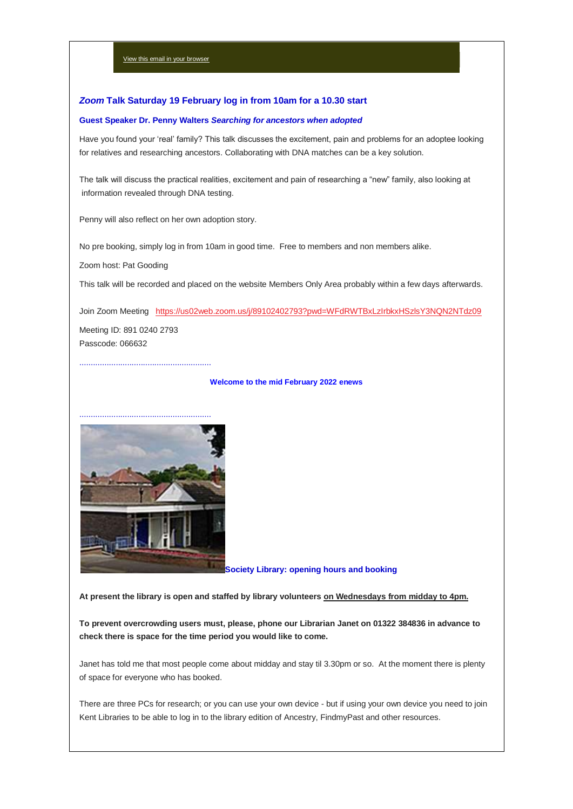# *Zoom* **Talk Saturday 19 February log in from 10am for a 10.30 start**

#### **Guest Speaker Dr. Penny Walters** *Searching for ancestors when adopted*

Have you found your 'real' family? This talk discusses the excitement, pain and problems for an adoptee looking for relatives and researching ancestors. Collaborating with DNA matches can be a key solution.

The talk will discuss the practical realities, excitement and pain of researching a "new" family, also looking at information revealed through DNA testing.

Penny will also reflect on her own adoption story.

No pre booking, simply log in from 10am in good time. Free to members and non members alike.

Zoom host: Pat Gooding

This talk will be recorded and placed on the website Members Only Area probably within a few days afterwards.

Join Zoom Meeting <https://us02web.zoom.us/j/89102402793?pwd=WFdRWTBxLzIrbkxHSzlsY3NQN2NTdz09> Meeting ID: 891 0240 2793 Passcode: 066632

..........................................................

..........................................................

#### **Welcome to the mid February 2022 enews**



**Society Library: opening hours and booking**

## **At present the library is open and staffed by library volunteers on Wednesdays from midday to 4pm.**

**To prevent overcrowding users must, please, phone our Librarian Janet on 01322 384836 in advance to check there is space for the time period you would like to come.**

Janet has told me that most people come about midday and stay til 3.30pm or so. At the moment there is plenty of space for everyone who has booked.

There are three PCs for research; or you can use your own device - but if using your own device you need to join Kent Libraries to be able to log in to the library edition of Ancestry, FindmyPast and other resources.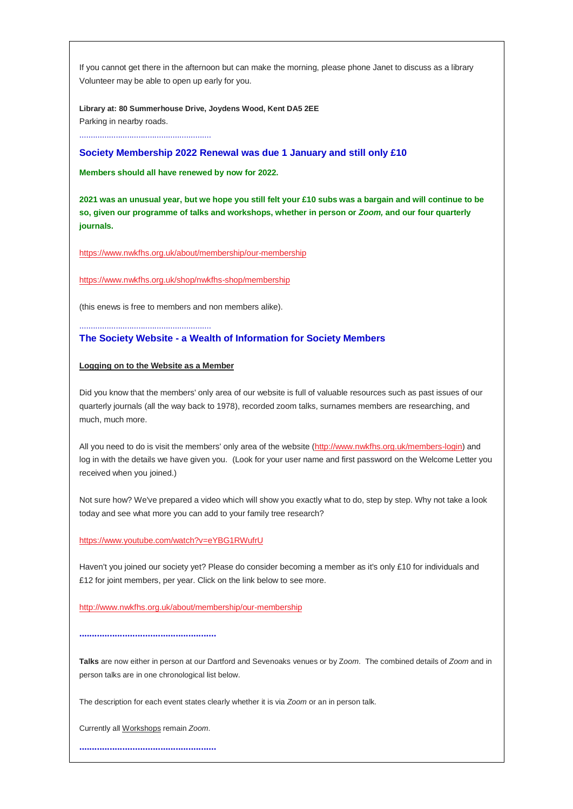If you cannot get there in the afternoon but can make the morning, please phone Janet to discuss as a library Volunteer may be able to open up early for you.

**Library at: 80 Summerhouse Drive, Joydens Wood, Kent DA5 2EE** Parking in nearby roads.

..........................................................

### **Society Membership 2022 Renewal was due 1 January and still only £10**

**Members should all have renewed by now for 2022.**

**2021 was an unusual year, but we hope you still felt your £10 subs was a bargain and will continue to be so, given our programme of talks and workshops, whether in person or** *Zoom,* **and our four quarterly journals.**

<https://www.nwkfhs.org.uk/about/membership/our-membership>

<https://www.nwkfhs.org.uk/shop/nwkfhs-shop/membership>

(this enews is free to members and non members alike).

#### **The Society Website - a Wealth of Information for Society Members**

#### **Logging on to the Website as a Member**

..........................................................

Did you know that the members' only area of our website is full of valuable resources such as past issues of our quarterly journals (all the way back to 1978), recorded zoom talks, surnames members are researching, and much, much more.

All you need to do is visit the members' only area of the website [\(http://www.nwkfhs.org.uk/members-login\)](http://www.nwkfhs.org.uk/members-login) and log in with the details we have given you. (Look for your user name and first password on the Welcome Letter you received when you joined.)

Not sure how? We've prepared a video which will show you exactly what to do, step by step. Why not take a look today and see what more you can add to your family tree research?

### <https://www.youtube.com/watch?v=eYBG1RWufrU>

Haven't you joined our society yet? Please do consider becoming a member as it's only £10 for individuals and £12 for joint members, per year. Click on the link below to see more.

<http://www.nwkfhs.org.uk/about/membership/our-membership>

**......................................................**

**Talks** are now either in person at our Dartford and Sevenoaks venues or by Z*oom*. The combined details of *Zoom* and in person talks are in one chronological list below.

The description for each event states clearly whether it is via *Zoom* or an in person talk.

Currently all Workshops remain *Zoom*.

**......................................................**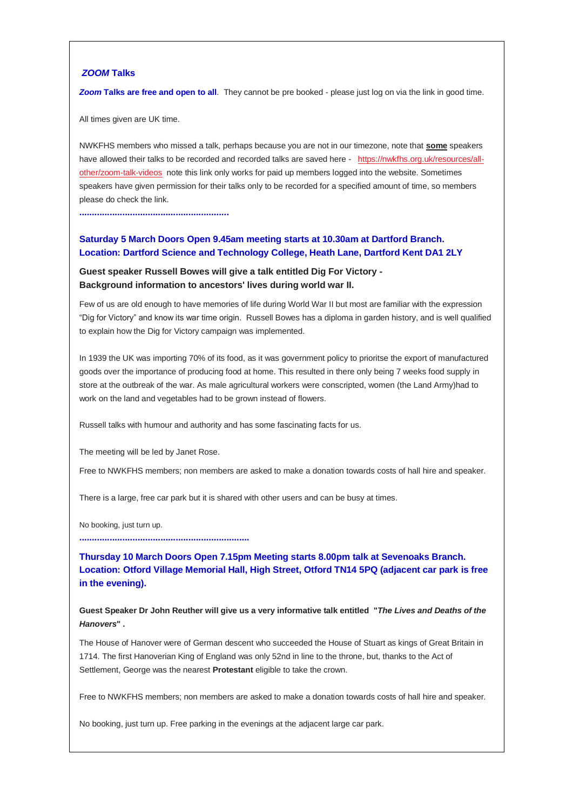## *ZOOM* **Talks**

**Zoom Talks are free and open to all**. They cannot be pre booked - please just log on via the link in good time.

All times given are UK time.

NWKFHS members who missed a talk, perhaps because you are not in our timezone, note that **some** speakers have allowed their talks to be recorded and recorded talks are saved here - [https://nwkfhs.org.uk/resources/all](https://nwkfhs.org.uk/resources/all-other/zoom-talk-videos)[other/zoom-talk-videos](https://nwkfhs.org.uk/resources/all-other/zoom-talk-videos) note this link only works for paid up members logged into the website. Sometimes speakers have given permission for their talks only to be recorded for a specified amount of time, so members please do check the link.

**...........................................................**

## **Saturday 5 March Doors Open 9.45am meeting starts at 10.30am at Dartford Branch. Location: Dartford Science and Technology College, Heath Lane, Dartford Kent DA1 2LY**

## **Guest speaker Russell Bowes will give a talk entitled Dig For Victory - Background information to ancestors' lives during world war II.**

Few of us are old enough to have memories of life during World War II but most are familiar with the expression "Dig for Victory" and know its war time origin. Russell Bowes has a diploma in garden history, and is well qualified to explain how the Dig for Victory campaign was implemented.

In 1939 the UK was importing 70% of its food, as it was government policy to prioritse the export of manufactured goods over the importance of producing food at home. This resulted in there only being 7 weeks food supply in store at the outbreak of the war. As male agricultural workers were conscripted, women (the Land Army)had to work on the land and vegetables had to be grown instead of flowers.

Russell talks with humour and authority and has some fascinating facts for us.

The meeting will be led by Janet Rose.

Free to NWKFHS members; non members are asked to make a donation towards costs of hall hire and speaker.

There is a large, free car park but it is shared with other users and can be busy at times.

No booking, just turn up.

**...................................................................**

**Thursday 10 March Doors Open 7.15pm Meeting starts 8.00pm talk at Sevenoaks Branch. Location: Otford Village Memorial Hall, High Street, Otford TN14 5PQ (adjacent car park is free in the evening).**

**Guest Speaker Dr John Reuther will give us a very informative talk entitled "***The Lives and Deaths of the Hanovers***" .**

The House of Hanover were of German descent who succeeded the House of Stuart as kings of Great Britain in 1714. The first Hanoverian King of England was only 52nd in line to the throne, but, thanks to the Act of Settlement, George was the nearest **Protestant** eligible to take the crown.

Free to NWKFHS members; non members are asked to make a donation towards costs of hall hire and speaker.

No booking, just turn up. Free parking in the evenings at the adjacent large car park.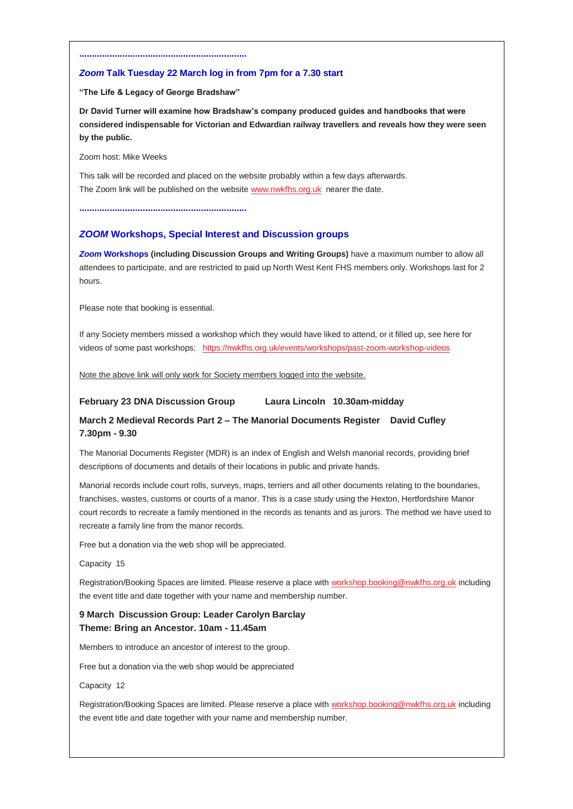## *Zoom* **Talk Tuesday 22 March log in from 7pm for a 7.30 start**

**"The Life & Legacy of George Bradshaw"**

**..................................................................**

**Dr David Turner will examine how Bradshaw's company produced guides and handbooks that were considered indispensable for Victorian and Edwardian railway travellers and reveals how they were seen by the public.**

Zoom host: Mike Weeks

This talk will be recorded and placed on the website probably within a few days afterwards. The Zoom link will be published on the website [www.nwkfhs.org.uk](http://www.nwkfhs.org.uk/) nearer the date.

**..................................................................**

## *ZOOM* **Workshops, Special Interest and Discussion groups**

*Zoom* **Workshops (including Discussion Groups and Writing Groups)** have a maximum number to allow all attendees to participate, and are restricted to paid up North West Kent FHS members only. Workshops last for 2 hours.

Please note that booking is essential.

If any Society members missed a workshop which they would have liked to attend, or it filled up, see here for videos of some past workshops: <https://nwkfhs.org.uk/events/workshops/past-zoom-workshop-videos>

Note the above link will only work for Society members logged into the website.

### **February 23 DNA Discussion Group Laura Lincoln 10.30am-midday**

# **March 2 Medieval Records Part 2 – The Manorial Documents Register David Cufley 7.30pm - 9.30**

The Manorial Documents Register (MDR) is an index of English and Welsh manorial records, providing brief descriptions of documents and details of their locations in public and private hands.

Manorial records include court rolls, surveys, maps, terriers and all other documents relating to the boundaries, franchises, wastes, customs or courts of a manor. This is a case study using the Hexton, Hertfordshire Manor court records to recreate a family mentioned in the records as tenants and as jurors. The method we have used to recreate a family line from the manor records.

Free but a donation via the web shop will be appreciated.

#### Capacity 15

Registration/Booking Spaces are limited. Please reserve a place with [workshop.booking@nwkfhs.org.uk](mailto:workshop.booking@nwkfhs.org.uk?subject=Workshop%3A%20Medieval%20Records%202%20March%202022) including the event title and date together with your name and membership number.

# **9 March Discussion Group: Leader Carolyn Barclay Theme: Bring an Ancestor. 10am - 11.45am**

Members to introduce an ancestor of interest to the group.

Free but a donation via the web shop would be appreciated

Capacity 12

Registration/Booking Spaces are limited. Please reserve a place with [workshop.booking@nwkfhs.org.uk](mailto:workshop.booking@nwkfhs.org.uk?subject=Workshop%3A%20Bring%20An%20Ancestor%209%20March%202022) including the event title and date together with your name and membership number.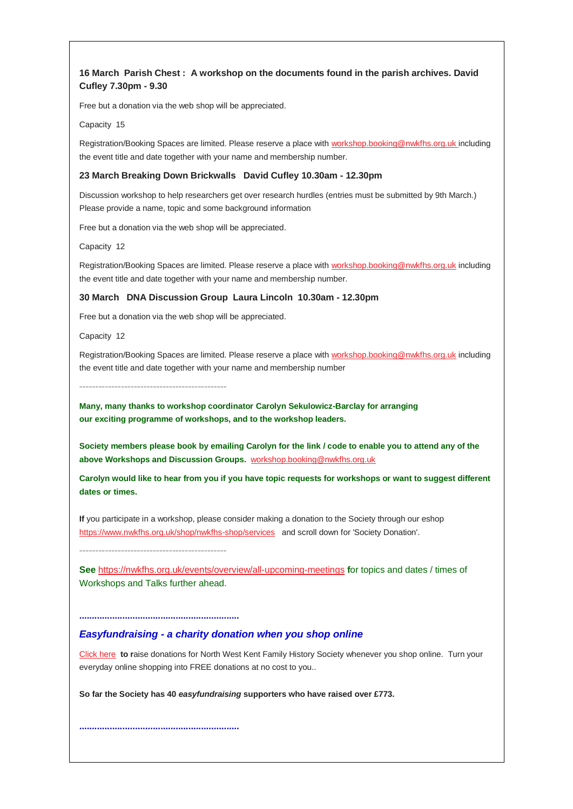# **16 March Parish Chest : A workshop on the documents found in the parish archives. David Cufley 7.30pm - 9.30**

Free but a donation via the web shop will be appreciated.

Capacity 15

Registration/Booking Spaces are limited. Please reserve a place with [workshop.booking@nwkfhs.org.uk](mailto:workshop.booking@nwkfhs.org.uk?subject=Workshop%3A%20Parish%20Chest%2016%20March) including the event title and date together with your name and membership number.

### **23 March Breaking Down Brickwalls David Cufley 10.30am - 12.30pm**

Discussion workshop to help researchers get over research hurdles (entries must be submitted by 9th March.) Please provide a name, topic and some background information

Free but a donation via the web shop will be appreciated.

Capacity 12

Registration/Booking Spaces are limited. Please reserve a place with [workshop.booking@nwkfhs.org.uk](mailto:workshop.booking@nwkfhs.org.uk?subject=Workshop%3A%20Breaking%20Down%20Brick%20Walls%2023%20March) including the event title and date together with your name and membership number.

### **30 March DNA Discussion Group Laura Lincoln 10.30am - 12.30pm**

Free but a donation via the web shop will be appreciated.

Capacity 12

Registration/Booking Spaces are limited. Please reserve a place with [workshop.booking@nwkfhs.org.uk](mailto:workshop.booking@nwkfhs.org.uk?subject=DNA%20Discussion%20Group%20on%2030%20March) including the event title and date together with your name and membership number

**----------------------------------------------**

**Many, many thanks to workshop coordinator Carolyn Sekulowicz-Barclay for arranging our exciting programme of workshops, and to the workshop leaders.**

**Society members please book by emailing Carolyn for the link / code to enable you to attend any of the above Workshops and Discussion Groups.** [workshop.booking@nwkfhs.org.uk](mailto:workshop.booking@nwkfhs.org.uk?subject=NWKFHS%20Workshops)

**Carolyn would like to hear from you if you have topic requests for workshops or want to suggest different dates or times.**

**If** you participate in a workshop, please consider making a donation to the Society through our eshop <https://www.nwkfhs.org.uk/shop/nwkfhs-shop/services> and scroll down for 'Society Donation'.

**See** <https://nwkfhs.org.uk/events/overview/all-upcoming-meetings> **f**or topics and dates / times of Workshops and Talks further ahead.

**...............................................................**

**----------------------------------------------**

## *Easyfundraising - a charity donation when you shop online*

[Click here](https://nwkfhs.us4.list-manage.com/track/click?u=cde10858510442d6e71f0f3a6&id=9e364e11d6&e=64e4c544dc) **to r**aise donations for North West Kent Family History Society whenever you shop online. Turn your everyday online shopping into FREE donations at no cost to you..

**So far the Society has 40** *easyfundraising* **supporters who have raised over £773.**

**...............................................................**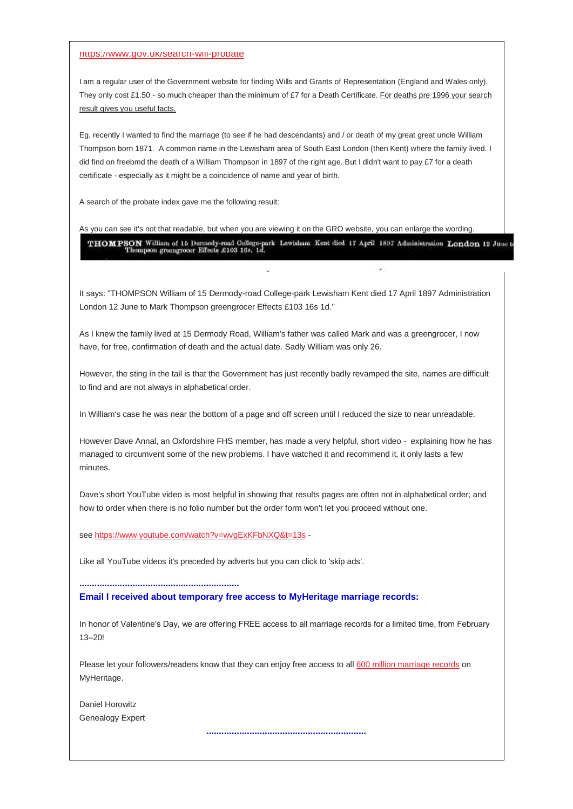#### <https://www.gov.uk/search-will-probate>

I am a regular user of the Government website for finding Wills and Grants of Representation (England and Wales only). They only cost £1.50 - so much cheaper than the minimum of £7 for a Death Certificate. For deaths pre 1996 your search result gives you useful facts.

Eg, recently I wanted to find the marriage (to see if he had descendants) and / or death of my great great uncle William Thompson born 1871. A common name in the Lewisham area of South East London (then Kent) where the family lived. I did find on freebmd the death of a William Thompson in 1897 of the right age. But I didn't want to pay £7 for a death certificate - especially as it might be a coincidence of name and year of birth.

A search of the probate index gave me the following result:

#### As you can see it's not that readable, but when you are viewing it on the GRO website, you can enlarge the wording.

THOMPSON William of 15 Dermody-road College-park Lewislaam Kent died 17 April 1897 Administration London 12 June to Thompson greengroost Effects £103 16s. 1d.

It says: "THOMPSON William of 15 Dermody-road College-park Lewisham Kent died 17 April 1897 Administration London 12 June to Mark Thompson greengrocer Effects £103 16s 1d."

As I knew the family lived at 15 Dermody Road, William's father was called Mark and was a greengrocer, I now have, for free, confirmation of death and the actual date. Sadly William was only 26.

However, the sting in the tail is that the Government has just recently badly revamped the site, names are difficult to find and are not always in alphabetical order.

In William's case he was near the bottom of a page and off screen until I reduced the size to near unreadable.

However Dave Annal, an Oxfordshire FHS member, has made a very helpful, short video - explaining how he has managed to circumvent some of the new problems. I have watched it and recommend it, it only lasts a few minutes.

Dave's short YouTube video is most helpful in showing that results pages are often not in alphabetical order; and how to order when there is no folio number but the order form won't let you proceed without one.

see [https://www.youtube.com/watch?v=wvgExKFbNXQ&t=13s](https://www.youtube.com/watch?v=wvgExKFbNXQ&t=13s&fbclid=IwAR2MtNxDBzV32CbULknqfMAKgJ0xgJbdMUMj-ymEMgm-gTaLKC6-nTAYDaQ) -

Like all YouTube videos it's preceded by adverts but you can click to 'skip ads'.

**...............................................................**

**Email I received about temporary free access to MyHeritage marriage records:**

In honor of Valentine's Day, we are offering FREE access to all marriage records for a limited time, from February 13–20!

Please let your followers/readers know that they can enjoy free access to all [600 million marriage records](https://cpyyv04.na1.hubspotlinks.com/Btc/ON+113/cpYyv04/MXgX15gzFt6W89bsbp6VcpNrW6fpr4J4Fv3p4N67vcpG3q90_V1-WJV7CgHS9V7WX7j99NXy0W3qc7BZ56Kc4zW65dnHZ3MmyypW55Jr-_8q6kr1W8ygpS72fbfJqW9l_1Lh64VjKSW6mwXcw1c7_d-W2tJvLs47fPJdW1MfSgf8J9dhcW6-Ch4L1X9phvW6LP-Jk7HNdXyN7mHHB8WBcbCW4GHQmD4QDJMhW6gwmY33tbgQWW6htsWw7-N0DZVj3yMl6B950XVxLTpK3m5jh9W8tKj3t4-vltxN73WpqBmygn8W8Ltm-C1hLQ74W2ng5NS5HCgjtW3dYxs11JwRySW3J4Bvb74wGlGW62MTvD8h0jkDW5GCtKq6p-MF8W7L3tCf3GC4SlW3x7_Lw2R9zjSW963yPQ4nBZkVW33Hx-b66WnmjW3CNy8-71Q3gr2hK1?fbclid=IwAR3hDU0Mq32Xrt3Bx82cXfx5p3s-F2YQRz_AhNAVNpN47KqzBcb04P6AIZE) on MyHeritage.

Daniel Horowitz Genealogy Expert

**...............................................................**